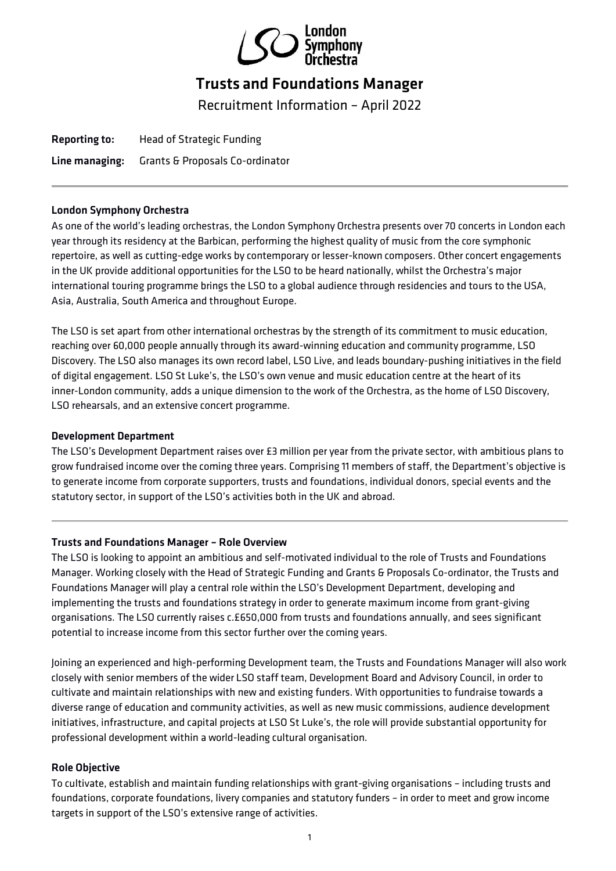

# Trusts and Foundations Manager

Recruitment Information – April 2022

Reporting to: Head of Strategic Funding Line managing: Grants & Proposals Co-ordinator

# London Symphony Orchestra

As one of the world's leading orchestras, the London Symphony Orchestra presents over 70 concerts in London each year through its residency at the Barbican, performing the highest quality of music from the core symphonic repertoire, as well as cutting-edge works by contemporary or lesser-known composers. Other concert engagements in the UK provide additional opportunities for the LSO to be heard nationally, whilst the Orchestra's major international touring programme brings the LSO to a global audience through residencies and tours to the USA, Asia, Australia, South America and throughout Europe.

The LSO is set apart from other international orchestras by the strength of its commitment to music education, reaching over 60,000 people annually through its award-winning education and community programme, LSO Discovery. The LSO also manages its own record label, LSO Live, and leads boundary-pushing initiatives in the field of digital engagement. LSO St Luke's, the LSO's own venue and music education centre at the heart of its inner-London community, adds a unique dimension to the work of the Orchestra, as the home of LSO Discovery, LSO rehearsals, and an extensive concert programme.

# Development Department

The LSO's Development Department raises over £3 million per year from the private sector, with ambitious plans to grow fundraised income over the coming three years. Comprising 11 members of staff, the Department's objective is to generate income from corporate supporters, trusts and foundations, individual donors, special events and the statutory sector, in support of the LSO's activities both in the UK and abroad.

# Trusts and Foundations Manager – Role Overview

The LSO is looking to appoint an ambitious and self-motivated individual to the role of Trusts and Foundations Manager. Working closely with the Head of Strategic Funding and Grants & Proposals Co-ordinator, the Trusts and Foundations Manager will play a central role within the LSO's Development Department, developing and implementing the trusts and foundations strategy in order to generate maximum income from grant-giving organisations. The LSO currently raises c.£650,000 from trusts and foundations annually, and sees significant potential to increase income from this sector further over the coming years.

Joining an experienced and high-performing Development team, the Trusts and Foundations Manager will also work closely with senior members of the wider LSO staff team, Development Board and Advisory Council, in order to cultivate and maintain relationships with new and existing funders. With opportunities to fundraise towards a diverse range of education and community activities, as well as new music commissions, audience development initiatives, infrastructure, and capital projects at LSO St Luke's, the role will provide substantial opportunity for professional development within a world-leading cultural organisation.

# Role Objective

To cultivate, establish and maintain funding relationships with grant-giving organisations – including trusts and foundations, corporate foundations, livery companies and statutory funders – in order to meet and grow income targets in support of the LSO's extensive range of activities.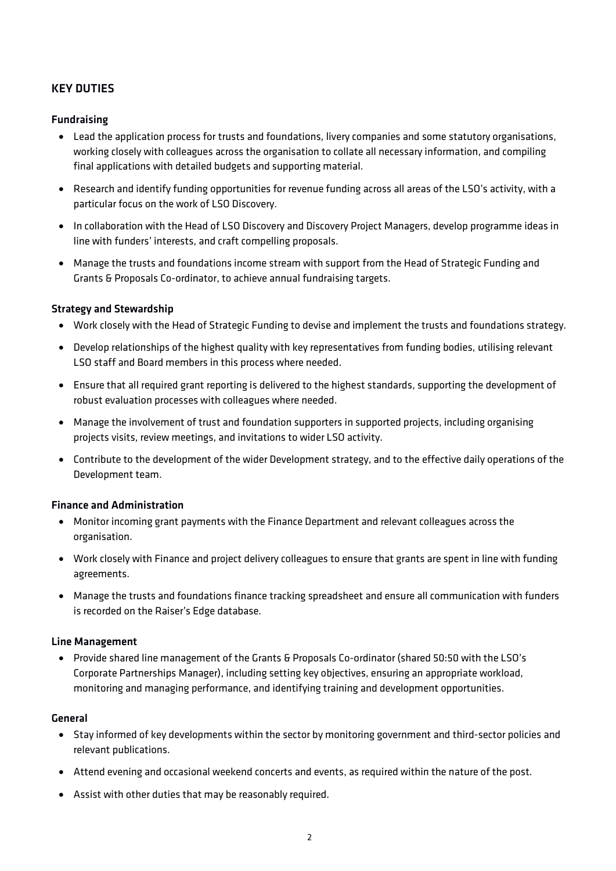# KEY DUTIES

# Fundraising

- Lead the application process for trusts and foundations, livery companies and some statutory organisations, working closely with colleagues across the organisation to collate all necessary information, and compiling final applications with detailed budgets and supporting material.
- Research and identify funding opportunities for revenue funding across all areas of the LSO's activity, with a particular focus on the work of LSO Discovery.
- In collaboration with the Head of LSO Discovery and Discovery Project Managers, develop programme ideas in line with funders' interests, and craft compelling proposals.
- Manage the trusts and foundations income stream with support from the Head of Strategic Funding and Grants & Proposals Co-ordinator, to achieve annual fundraising targets.

## Strategy and Stewardship

- Work closely with the Head of Strategic Funding to devise and implement the trusts and foundations strategy.
- Develop relationships of the highest quality with key representatives from funding bodies, utilising relevant LSO staff and Board members in this process where needed.
- Ensure that all required grant reporting is delivered to the highest standards, supporting the development of robust evaluation processes with colleagues where needed.
- Manage the involvement of trust and foundation supporters in supported projects, including organising projects visits, review meetings, and invitations to wider LSO activity.
- Contribute to the development of the wider Development strategy, and to the effective daily operations of the Development team.

#### Finance and Administration

- Monitor incoming grant payments with the Finance Department and relevant colleagues across the organisation.
- Work closely with Finance and project delivery colleagues to ensure that grants are spent in line with funding agreements.
- Manage the trusts and foundations finance tracking spreadsheet and ensure all communication with funders is recorded on the Raiser's Edge database.

#### Line Management

• Provide shared line management of the Grants & Proposals Co-ordinator (shared 50:50 with the LSO's Corporate Partnerships Manager), including setting key objectives, ensuring an appropriate workload, monitoring and managing performance, and identifying training and development opportunities.

#### General

- Stay informed of key developments within the sector by monitoring government and third-sector policies and relevant publications.
- Attend evening and occasional weekend concerts and events, as required within the nature of the post.
- Assist with other duties that may be reasonably required.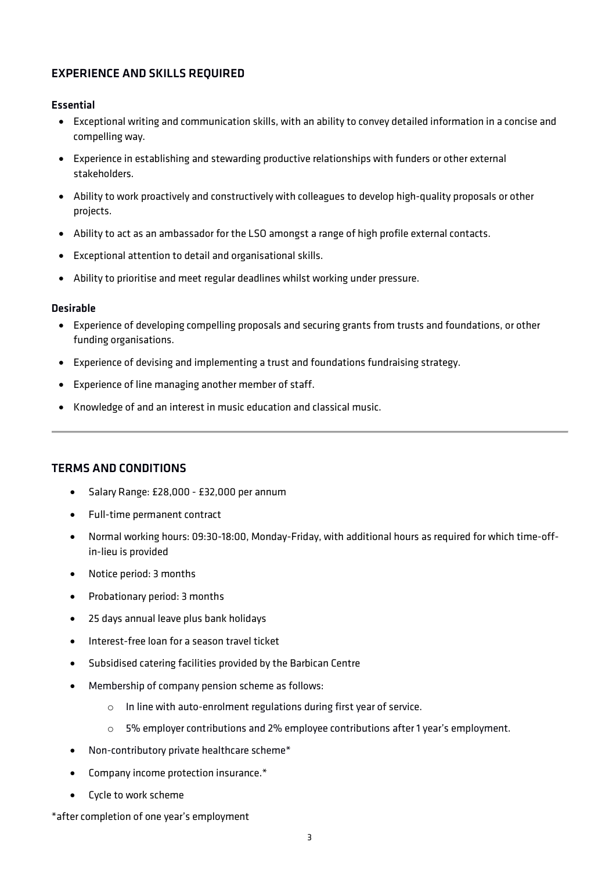# EXPERIENCE AND SKILLS REQUIRED

## Essential

- Exceptional writing and communication skills, with an ability to convey detailed information in a concise and compelling way.
- Experience in establishing and stewarding productive relationships with funders or other external stakeholders.
- Ability to work proactively and constructively with colleagues to develop high-quality proposals or other projects.
- Ability to act as an ambassador for the LSO amongst a range of high profile external contacts.
- Exceptional attention to detail and organisational skills.
- Ability to prioritise and meet regular deadlines whilst working under pressure.

#### Desirable

- Experience of developing compelling proposals and securing grants from trusts and foundations, or other funding organisations.
- Experience of devising and implementing a trust and foundations fundraising strategy.
- Experience of line managing another member of staff.
- Knowledge of and an interest in music education and classical music.

# TERMS AND CONDITIONS

- Salary Range: £28,000 £32,000 per annum
- Full-time permanent contract
- Normal working hours: 09:30-18:00, Monday-Friday, with additional hours as required for which time-offin-lieu is provided
- Notice period: 3 months
- Probationary period: 3 months
- 25 days annual leave plus bank holidays
- Interest-free loan for a season travel ticket
- Subsidised catering facilities provided by the Barbican Centre
- Membership of company pension scheme as follows:
	- o In line with auto-enrolment regulations during first year of service.
	- o 5% employer contributions and 2% employee contributions after 1 year's employment.
- Non-contributory private healthcare scheme\*
- Company income protection insurance.\*
- Cycle to work scheme

#### \*after completion of one year's employment